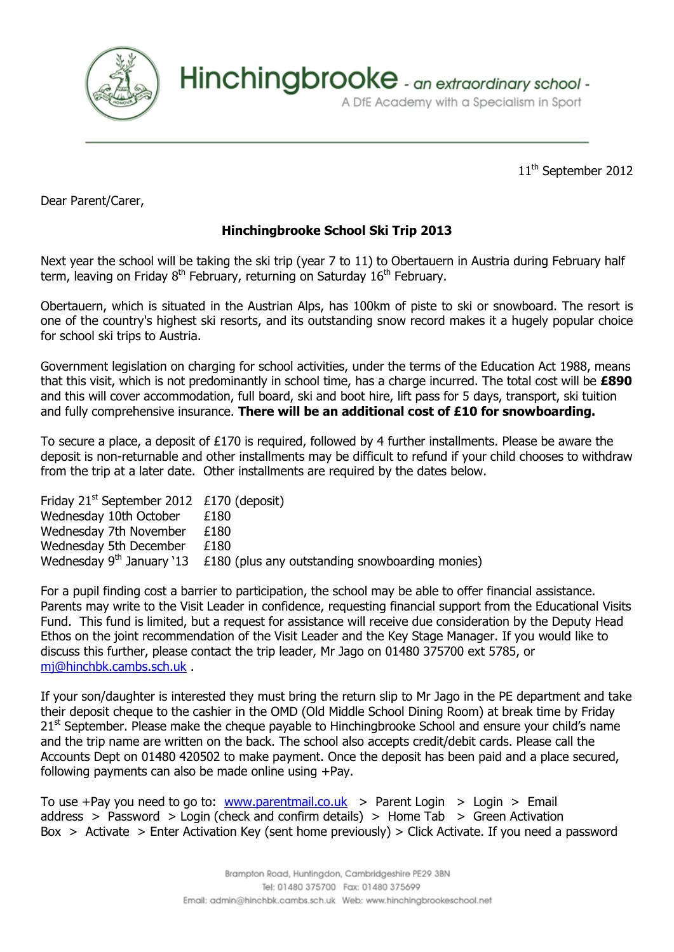

Hinchingbrooke - an extraordinary school -

A DfE Academy with a Specialism in Sport

11<sup>th</sup> September 2012

Dear Parent/Carer,

## **Hinchingbrooke School Ski Trip 2013**

Next year the school will be taking the ski trip (year 7 to 11) to Obertauern in Austria during February half term, leaving on Friday 8<sup>th</sup> February, returning on Saturday 16<sup>th</sup> February.

Obertauern, which is situated in the Austrian Alps, has 100km of piste to ski or snowboard. The resort is one of the country's highest ski resorts, and its outstanding snow record makes it a hugely popular choice for school ski trips to Austria.

Government legislation on charging for school activities, under the terms of the Education Act 1988, means that this visit, which is not predominantly in school time, has a charge incurred. The total cost will be **£890** and this will cover accommodation, full board, ski and boot hire, lift pass for 5 days, transport, ski tuition and fully comprehensive insurance. **There will be an additional cost of £10 for snowboarding.**

To secure a place, a deposit of £170 is required, followed by 4 further installments. Please be aware the deposit is non-returnable and other installments may be difficult to refund if your child chooses to withdraw from the trip at a later date. Other installments are required by the dates below.

Friday  $21^{st}$  September 2012 £170 (deposit) Wednesday 10th October £180 Wednesday 7th November £180 Wednesday 5th December £180 Wednesday  $9<sup>th</sup>$  January `13  $\pm 180$  (plus any outstanding snowboarding monies)

For a pupil finding cost a barrier to participation, the school may be able to offer financial assistance. Parents may write to the Visit Leader in confidence, requesting financial support from the Educational Visits Fund. This fund is limited, but a request for assistance will receive due consideration by the Deputy Head Ethos on the joint recommendation of the Visit Leader and the Key Stage Manager. If you would like to discuss this further, please contact the trip leader, Mr Jago on 01480 375700 ext 5785, or [mj@hinchbk.cambs.sch.uk](mailto:mj@hinchbk.cambs.sch.uk) .

If your son/daughter is interested they must bring the return slip to Mr Jago in the PE department and take their deposit cheque to the cashier in the OMD (Old Middle School Dining Room) at break time by Friday 21<sup>st</sup> September. Please make the cheque payable to Hinchingbrooke School and ensure your child's name and the trip name are written on the back. The school also accepts credit/debit cards. Please call the Accounts Dept on 01480 420502 to make payment. Once the deposit has been paid and a place secured, following payments can also be made online using +Pay.

To use +Pay you need to go to: [www.parentmail.co.uk](http://www.parentmail.co.uk/) > Parent Login > Login > Email address > Password > Login (check and confirm details) > Home Tab > Green Activation Box > Activate > Enter Activation Key (sent home previously) > Click Activate. If you need a password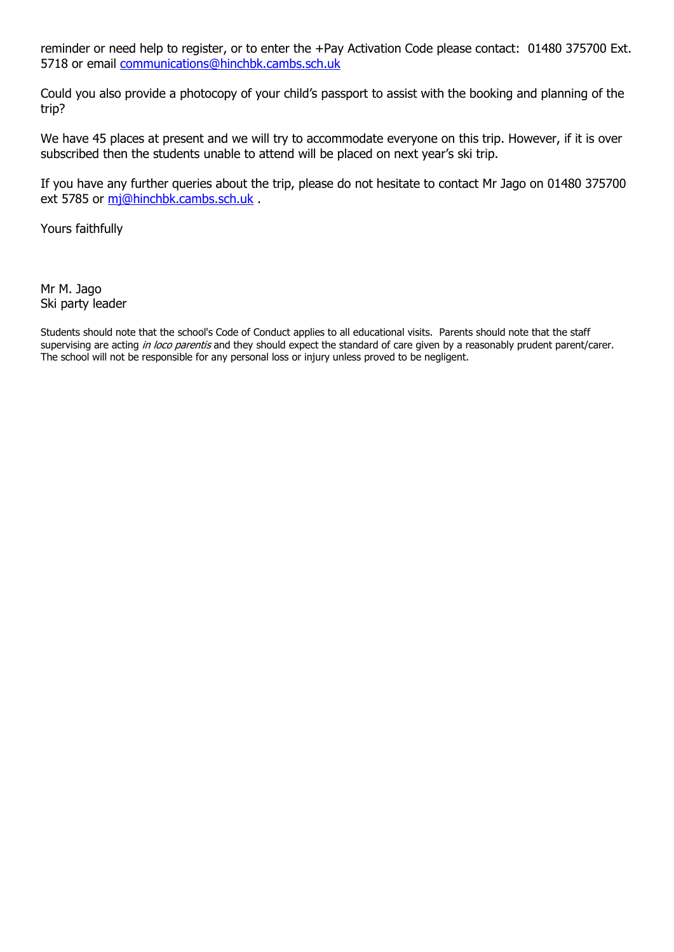reminder or need help to register, or to enter the +Pay Activation Code please contact: 01480 375700 Ext. 5718 or email [communications@hinchbk.cambs.sch.uk](mailto:communications@hinchbk.cambs.sch.uk)

Could you also provide a photocopy of your child's passport to assist with the booking and planning of the trip?

We have 45 places at present and we will try to accommodate everyone on this trip. However, if it is over subscribed then the students unable to attend will be placed on next year's ski trip.

If you have any further queries about the trip, please do not hesitate to contact Mr Jago on 01480 375700 ext 5785 or [mj@hinchbk.cambs.sch.uk](mailto:mj@hinchbk.cambs.sch.uk) .

Yours faithfully

Mr M. Jago Ski party leader

Students should note that the school's Code of Conduct applies to all educational visits. Parents should note that the staff supervising are acting in loco parentis and they should expect the standard of care given by a reasonably prudent parent/carer. The school will not be responsible for any personal loss or injury unless proved to be negligent.